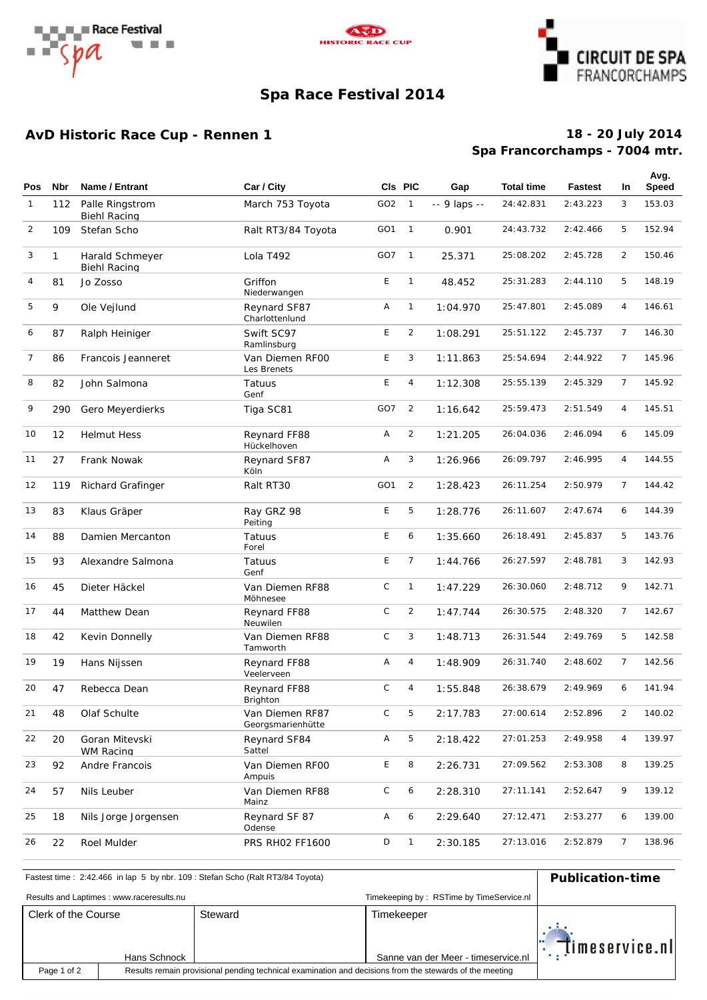





# **Spa Race Festival 2014**

## **AvD Historic Race Cup - Rennen 1**

## **Spa Francorchamps - 7004 mtr. 18 - 20 July 2014**

| <b>Pos</b>     | <b>Nbr</b>   | Name / Entrant                         | Car / City                           |                 | CIs PIC        | Gap           | <b>Total time</b> | <b>Fastest</b> | In             | Avg.<br>Speed |
|----------------|--------------|----------------------------------------|--------------------------------------|-----------------|----------------|---------------|-------------------|----------------|----------------|---------------|
|                |              |                                        |                                      |                 |                |               |                   |                |                |               |
| $\mathbf{1}$   | 112          | Palle Ringstrom<br><b>Biehl Racing</b> | March 753 Toyota                     | GO2             | $\overline{1}$ | $-9$ laps $-$ | 24:42.831         | 2: 43.223      | 3              | 153.03        |
| 2              | 109          | Stefan Scho                            | Ralt RT3/84 Toyota                   | GO <sub>1</sub> | $\overline{1}$ | 0.901         | 24:43.732         | 2: 42.466      | 5              | 152.94        |
| 3              | $\mathbf{1}$ | Harald Schmeyer<br><b>Biehl Racing</b> | Lola T492                            | GO7             | $\overline{1}$ | 25.371        | 25:08.202         | 2:45.728       | $\overline{2}$ | 150.46        |
| 4              | 81           | Jo Zosso                               | Griffon<br>Niederwangen              | E               | $\mathbf{1}$   | 48.452        | 25:31.283         | 2: 44.110      | 5              | 148.19        |
| 5              | 9            | Ole Vejlund                            | Reynard SF87<br>Charlottenlund       | Α               | $\mathbf{1}$   | 1:04.970      | 25:47.801         | 2:45.089       | 4              | 146.61        |
| 6              | 87           | Ralph Heiniger                         | Swift SC97<br>Ramlinsburg            | E               | $\overline{2}$ | 1:08.291      | 25:51.122         | 2:45.737       | $\overline{7}$ | 146.30        |
| $\overline{7}$ | 86           | Francois Jeanneret                     | Van Diemen RFOO<br>Les Brenets       | E               | 3              | 1:11.863      | 25:54.694         | 2: 44.922      | 7              | 145.96        |
| 8              | 82           | John Salmona                           | Tatuus<br>Genf                       | E               | 4              | 1:12.308      | 25:55.139         | 2:45.329       | $\overline{7}$ | 145.92        |
| 9              | 290          | Gero Meyerdierks                       | Tiga SC81                            | GO7             | $\overline{2}$ | 1:16.642      | 25:59.473         | 2: 51.549      | 4              | 145.51        |
| 10             | 12           | <b>Helmut Hess</b>                     | Reynard FF88<br>Hückelhoven          | Α               | $\overline{2}$ | 1:21.205      | 26:04.036         | 2:46.094       | 6              | 145.09        |
| 11             | 27           | Frank Nowak                            | Reynard SF87<br>Köln                 | Α               | 3              | 1:26.966      | 26:09.797         | 2:46.995       | 4              | 144.55        |
| 12             | 119          | Richard Grafinger                      | Ralt RT30                            | GO <sub>1</sub> | $\overline{2}$ | 1:28.423      | 26:11.254         | 2:50.979       | 7              | 144.42        |
| 13             | 83           | Klaus Gräper                           | Ray GRZ 98<br>Peiting                | E               | 5              | 1:28.776      | 26:11.607         | 2: 47.674      | 6              | 144.39        |
| 14             | 88           | Damien Mercanton                       | Tatuus<br>Forel                      | E               | 6              | 1:35.660      | 26:18.491         | 2:45.837       | 5              | 143.76        |
| 15             | 93           | Alexandre Salmona                      | Tatuus<br>Genf                       | E               | $\overline{7}$ | 1:44.766      | 26:27.597         | 2:48.781       | 3              | 142.93        |
| 16             | 45           | Dieter Häckel                          | Van Diemen RF88<br>Möhnesee          | C               | $\mathbf{1}$   | 1:47.229      | 26:30.060         | 2:48.712       | 9              | 142.71        |
| 17             | 44           | Matthew Dean                           | Reynard FF88<br>Neuwilen             | $\mathsf{C}$    | $\overline{2}$ | 1:47.744      | 26: 30.575        | 2:48.320       | $\overline{7}$ | 142.67        |
| 18             | 42           | Kevin Donnelly                         | Van Diemen RF88<br>Tamworth          | C               | 3              | 1:48.713      | 26:31.544         | 2:49.769       | 5              | 142.58        |
| 19             | 19           | Hans Nijssen                           | Reynard FF88<br>Veelerveen           | Α               | 4              | 1:48.909      | 26: 31.740        | 2:48.602       | $\overline{7}$ | 142.56        |
| 20             | 47           | Rebecca Dean                           | Reynard FF88<br><b>Brighton</b>      | $\mathsf{C}$    | 4              | 1:55.848      | 26:38.679         | 2:49.969       | 6              | 141.94        |
| 21             | 48           | Olaf Schulte                           | Van Diemen RF87<br>Georgsmarienhütte | $\mathsf{C}$    | 5              | 2:17.783      | 27:00.614         | 2:52.896       | 2              | 140.02        |
| 22             | 20           | Goran Mitevski<br><b>WM Racing</b>     | Reynard SF84<br>Sattel               | A               | 5              | 2:18.422      | 27:01.253         | 2:49.958       | 4              | 139.97        |
| 23             | 92           | Andre Francois                         | Van Diemen RFOO<br>Ampuis            | Е               | 8              | 2:26.731      | 27:09.562         | 2:53.308       | 8              | 139.25        |
| 24             | 57           | Nils Leuber                            | Van Diemen RF88<br>Mainz             | C               | 6              | 2:28.310      | 27:11.141         | 2:52.647       | 9              | 139.12        |
| 25             | 18           | Nils Jorge Jorgensen                   | Reynard SF 87<br>Odense              | Α               | 6              | 2:29.640      | 27:12.471         | 2:53.277       | 6              | 139.00        |
| 26             | 22           | Roel Mulder                            | PRS RH02 FF1600                      | D               | $\mathbf{1}$   | 2:30.185      | 27:13.016         | 2:52.879       | $\overline{7}$ | 138.96        |

| Fastest time: 2:42.466 in lap 5 by nbr. 109 : Stefan Scho (Ralt RT3/84 Toyota) | <b>Publication-time</b>                                                                                 |         |                                                   |                                         |  |  |
|--------------------------------------------------------------------------------|---------------------------------------------------------------------------------------------------------|---------|---------------------------------------------------|-----------------------------------------|--|--|
| Results and Laptimes: www.raceresults.nu                                       |                                                                                                         |         |                                                   |                                         |  |  |
| Clerk of the Course                                                            | Hans Schnock                                                                                            | Steward | Timekeeper<br>Sanne van der Meer - timeservice.nl | $\mathbb{E}$ $\mathbb{I}$ imeservice.nl |  |  |
| Page 1 of 2                                                                    | Results remain provisional pending technical examination and decisions from the stewards of the meeting |         |                                                   |                                         |  |  |